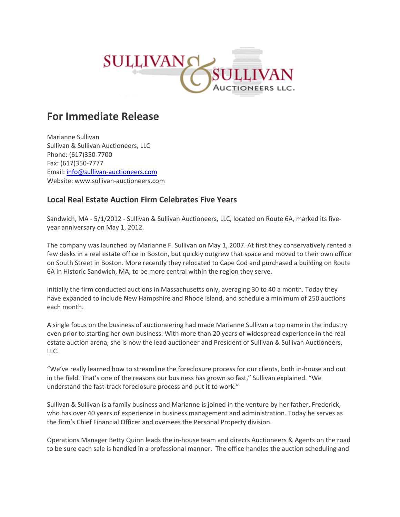

## **For Immediate Release**

Marianne Sullivan Sullivan & Sullivan Auctioneers, LLC Phone: (617)350‐7700 Fax: (617)350‐7777 Email: info@sullivan‐auctioneers.com Website: www.sullivan‐auctioneers.com

## **Local Real Estate Auction Firm Celebrates Five Years**

Sandwich, MA ‐ 5/1/2012 ‐ Sullivan & Sullivan Auctioneers, LLC, located on Route 6A, marked its five‐ year anniversary on May 1, 2012.

The company was launched by Marianne F. Sullivan on May 1, 2007. At first they conservatively rented a few desks in a real estate office in Boston, but quickly outgrew that space and moved to their own office on South Street in Boston. More recently they relocated to Cape Cod and purchased a building on Route 6A in Historic Sandwich, MA, to be more central within the region they serve.

Initially the firm conducted auctions in Massachusetts only, averaging 30 to 40 a month. Today they have expanded to include New Hampshire and Rhode Island, and schedule a minimum of 250 auctions each month.

A single focus on the business of auctioneering had made Marianne Sullivan a top name in the industry even prior to starting her own business. With more than 20 years of widespread experience in the real estate auction arena, she is now the lead auctioneer and President of Sullivan & Sullivan Auctioneers, LLC.

"We've really learned how to streamline the foreclosure process for our clients, both in‐house and out in the field. That's one of the reasons our business has grown so fast," Sullivan explained. "We understand the fast-track foreclosure process and put it to work."

Sullivan & Sullivan is a family business and Marianne is joined in the venture by her father, Frederick, who has over 40 years of experience in business management and administration. Today he serves as the firm's Chief Financial Officer and oversees the Personal Property division.

Operations Manager Betty Quinn leads the in‐house team and directs Auctioneers & Agents on the road to be sure each sale is handled in a professional manner. The office handles the auction scheduling and